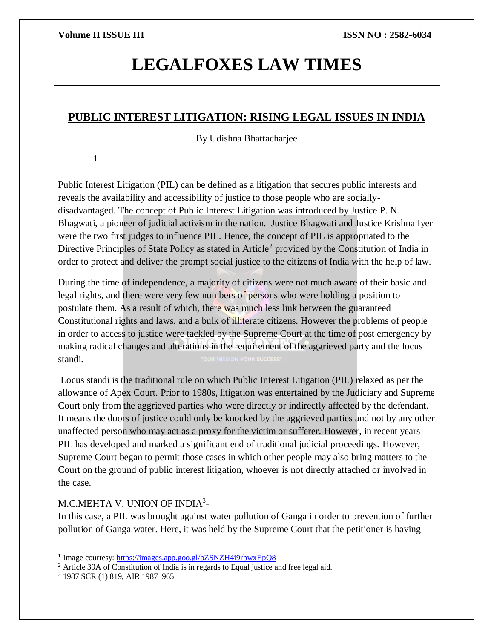# **LEGALFOXES LAW TIMES**

## **PUBLIC INTEREST LITIGATION: RISING LEGAL ISSUES IN INDIA**

By Udishna Bhattacharjee

1

Public Interest Litigation (PIL) can be defined as a litigation that secures public interests and reveals the availability and accessibility of justice to those people who are sociallydisadvantaged. The concept of Public Interest Litigation was introduced by Justice P. N. Bhagwati, a pioneer of judicial activism in the nation. Justice Bhagwati and Justice Krishna Iyer were the two first judges to influence PIL. Hence, the concept of PIL is appropriated to the Directive Principles of State Policy as stated in Article<sup>2</sup> provided by the Constitution of India in order to protect and deliver the prompt social justice to the citizens of India with the help of law.

During the time of independence, a majority of citizens were not much aware of their basic and legal rights, and there were very few numbers of persons who were holding a position to postulate them. As a result of which, there was much less link between the guaranteed Constitutional rights and laws, and a bulk of illiterate citizens. However the problems of people in order to access to justice were tackled by the Supreme Court at the time of post emergency by making radical changes and alterations in the requirement of the aggrieved party and the locus standi.

Locus standi is the traditional rule on which Public Interest Litigation (PIL) relaxed as per the allowance of Apex Court. Prior to 1980s, litigation was entertained by the Judiciary and Supreme Court only from the aggrieved parties who were directly or indirectly affected by the defendant. It means the doors of justice could only be knocked by the aggrieved parties and not by any other unaffected person who may act as a proxy for the victim or sufferer. However, in recent years PIL has developed and marked a significant end of traditional judicial proceedings. However, Supreme Court began to permit those cases in which other people may also bring matters to the Court on the ground of public interest litigation, whoever is not directly attached or involved in the case.

### M.C.MEHTA V. UNION OF INDIA<sup>3</sup>-

In this case, a PIL was brought against water pollution of Ganga in order to prevention of further pollution of Ganga water. Here, it was held by the Supreme Court that the petitioner is having

 $\overline{a}$ <sup>1</sup> Image courtesy:<https://images.app.goo.gl/bZSNZH4i9rbwxEpQ8>

<sup>2</sup> Article 39A of Constitution of India is in regards to Equal justice and free legal aid.

<sup>3</sup> 1987 SCR (1) 819, AIR 1987 965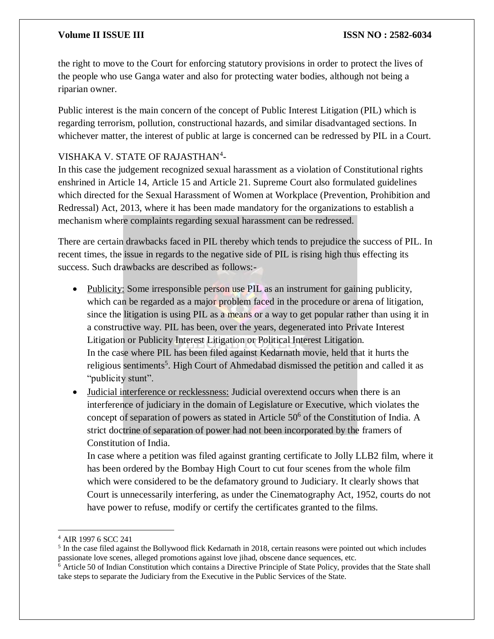#### **Volume II ISSUE III III ISSUE III ISSN NO** : 2582-6034

the right to move to the Court for enforcing statutory provisions in order to protect the lives of the people who use Ganga water and also for protecting water bodies, although not being a riparian owner.

Public interest is the main concern of the concept of Public Interest Litigation (PIL) which is regarding terrorism, pollution, constructional hazards, and similar disadvantaged sections. In whichever matter, the interest of public at large is concerned can be redressed by PIL in a Court.

### VISHAKA V. STATE OF RAJASTHAN<sup>4</sup>-

In this case the judgement recognized sexual harassment as a violation of Constitutional rights enshrined in Article 14, Article 15 and Article 21. Supreme Court also formulated guidelines which directed for the Sexual Harassment of Women at Workplace (Prevention, Prohibition and Redressal) Act, 2013, where it has been made mandatory for the organizations to establish a mechanism where complaints regarding sexual harassment can be redressed.

There are certain drawbacks faced in PIL thereby which tends to prejudice the success of PIL. In recent times, the issue in regards to the negative side of PIL is rising high thus effecting its success. Such drawbacks are described as follows:-

- Publicity: Some irresponsible person use PIL as an instrument for gaining publicity, which can be regarded as a major problem faced in the procedure or arena of litigation, since the litigation is using PIL as a means or a way to get popular rather than using it in a constructive way. PIL has been, over the years, degenerated into Private Interest Litigation or Publicity Interest Litigation or Political Interest Litigation. In the case where PIL has been filed against Kedarnath movie, held that it hurts the religious sentiments<sup>5</sup>. High Court of Ahmedabad dismissed the petition and called it as "*publicity stunt*".
- Judicial interference or recklessness: Judicial overextend occurs when there is an interference of judiciary in the domain of Legislature or Executive, which violates the concept of separation of powers as stated in Article  $50<sup>6</sup>$  of the Constitution of India. A strict doctrine of separation of power had not been incorporated by the framers of Constitution of India.

In case where a petition was filed against granting certificate to Jolly LLB2 film, where it has been ordered by the Bombay High Court to cut four scenes from the whole film which were considered to be the defamatory ground to Judiciary. It clearly shows that Court is unnecessarily interfering, as under the Cinematography Act, 1952, courts do not have power to refuse, modify or certify the certificates granted to the films.

 $\overline{\phantom{a}}$ 

<sup>4</sup> AIR 1997 6 SCC 241

<sup>&</sup>lt;sup>5</sup> In the case filed against the Bollywood flick Kedarnath in 2018, certain reasons were pointed out which includes passionate love scenes, alleged promotions against love jihad, obscene dance sequences, etc.

<sup>&</sup>lt;sup>6</sup> Article 50 of Indian Constitution which contains a Directive Principle of State Policy, provides that the State shall take steps to separate the Judiciary from the Executive in the Public Services of the State.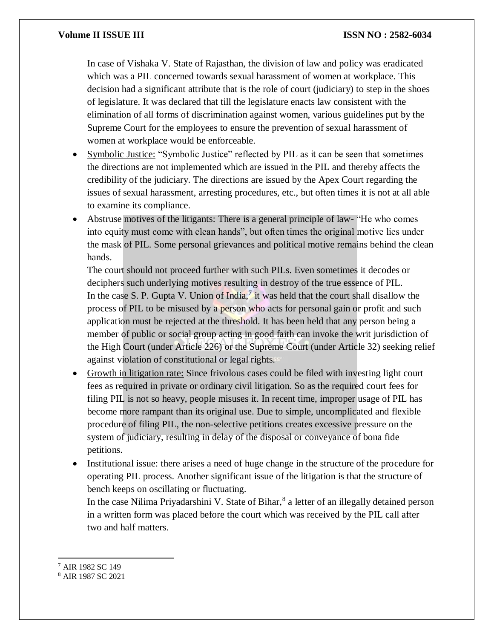In case of Vishaka V. State of Rajasthan, the division of law and policy was eradicated which was a PIL concerned towards sexual harassment of women at workplace. This decision had a significant attribute that is the role of court (judiciary) to step in the shoes of legislature. It was declared that till the legislature enacts law consistent with the elimination of all forms of discrimination against women, various guidelines put by the Supreme Court for the employees to ensure the prevention of sexual harassment of women at workplace would be enforceable.

- Symbolic Justice: "Symbolic Justice" reflected by PIL as it can be seen that sometimes the directions are not implemented which are issued in the PIL and thereby affects the credibility of the judiciary. The directions are issued by the Apex Court regarding the issues of sexual harassment, arresting procedures, etc., but often times it is not at all able to examine its compliance.
- Abstruse motives of the litigants: There is a general principle of law- "He who comes into equity must come with clean hands", but often times the original motive lies under the mask of PIL. Some personal grievances and political motive remains behind the clean hands.

The court should not proceed further with such PILs. Even sometimes it decodes or deciphers such underlying motives resulting in destroy of the true essence of PIL. In the case S. P. Gupta V. Union of India,<sup>7</sup> it was held that the court shall disallow the process of PIL to be misused by a person who acts for personal gain or profit and such application must be rejected at the threshold. It has been held that any person being a member of public or social group acting in good faith can invoke the writ jurisdiction of the High Court (under Article 226) or the Supreme Court (under Article 32) seeking relief against violation of constitutional or legal rights.

- Growth in litigation rate: Since frivolous cases could be filed with investing light court fees as required in private or ordinary civil litigation. So as the required court fees for filing PIL is not so heavy, people misuses it. In recent time, improper usage of PIL has become more rampant than its original use. Due to simple, uncomplicated and flexible procedure of filing PIL, the non-selective petitions creates excessive pressure on the system of judiciary, resulting in delay of the disposal or conveyance of bona fide petitions.
- Institutional issue: there arises a need of huge change in the structure of the procedure for operating PIL process. Another significant issue of the litigation is that the structure of bench keeps on oscillating or fluctuating.

In the case Nilima Priyadarshini V. State of Bihar,<sup>8</sup> a letter of an illegally detained person in a written form was placed before the court which was received by the PIL call after two and half matters.

 $\overline{\phantom{a}}$ <sup>7</sup> AIR 1982 SC 149

<sup>8</sup> AIR 1987 SC 2021